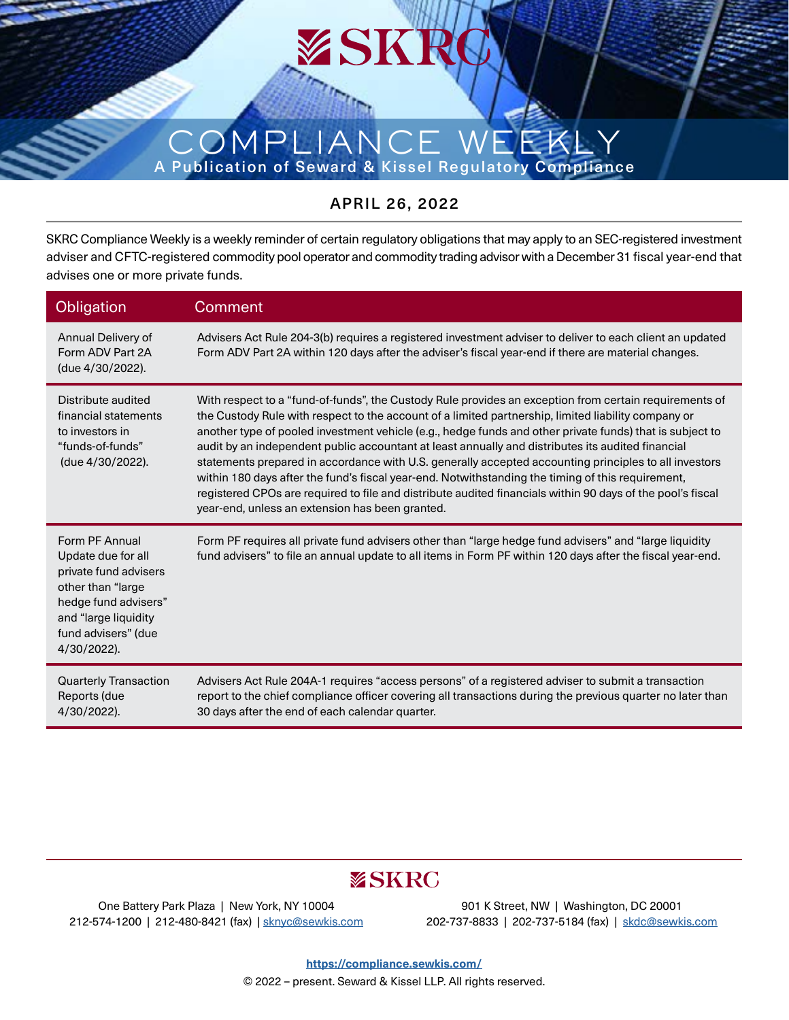# COMPLIA A Publication of Seward & Kissel Regulatory Compliance

### APRIL 26, 2022

SKRC Compliance Weekly is a weekly reminder of certain regulatory obligations that may apply to an SEC-registered investment adviser and CFTC-registered commodity pool operator and commodity trading advisor with a December 31 fiscal year-end that advises one or more private funds.

| Obligation                                                                                                                                                               | <b>Comment</b>                                                                                                                                                                                                                                                                                                                                                                                                                                                                                                                                                                                                                                                                                                                                                                                                |
|--------------------------------------------------------------------------------------------------------------------------------------------------------------------------|---------------------------------------------------------------------------------------------------------------------------------------------------------------------------------------------------------------------------------------------------------------------------------------------------------------------------------------------------------------------------------------------------------------------------------------------------------------------------------------------------------------------------------------------------------------------------------------------------------------------------------------------------------------------------------------------------------------------------------------------------------------------------------------------------------------|
| Annual Delivery of<br>Form ADV Part 2A<br>(due 4/30/2022).                                                                                                               | Advisers Act Rule 204-3(b) requires a registered investment adviser to deliver to each client an updated<br>Form ADV Part 2A within 120 days after the adviser's fiscal year-end if there are material changes.                                                                                                                                                                                                                                                                                                                                                                                                                                                                                                                                                                                               |
| Distribute audited<br>financial statements<br>to investors in<br>"funds-of-funds"<br>(due 4/30/2022).                                                                    | With respect to a "fund-of-funds", the Custody Rule provides an exception from certain requirements of<br>the Custody Rule with respect to the account of a limited partnership, limited liability company or<br>another type of pooled investment vehicle (e.g., hedge funds and other private funds) that is subject to<br>audit by an independent public accountant at least annually and distributes its audited financial<br>statements prepared in accordance with U.S. generally accepted accounting principles to all investors<br>within 180 days after the fund's fiscal year-end. Notwithstanding the timing of this requirement,<br>registered CPOs are required to file and distribute audited financials within 90 days of the pool's fiscal<br>year-end, unless an extension has been granted. |
| Form PF Annual<br>Update due for all<br>private fund advisers<br>other than "large<br>hedge fund advisers"<br>and "large liquidity<br>fund advisers" (due<br>4/30/2022). | Form PF requires all private fund advisers other than "large hedge fund advisers" and "large liquidity<br>fund advisers" to file an annual update to all items in Form PF within 120 days after the fiscal year-end.                                                                                                                                                                                                                                                                                                                                                                                                                                                                                                                                                                                          |
| <b>Quarterly Transaction</b><br>Reports (due<br>4/30/2022).                                                                                                              | Advisers Act Rule 204A-1 requires "access persons" of a registered adviser to submit a transaction<br>report to the chief compliance officer covering all transactions during the previous quarter no later than<br>30 days after the end of each calendar quarter.                                                                                                                                                                                                                                                                                                                                                                                                                                                                                                                                           |

# **ESKRC**

One Battery Park Plaza | New York, NY 10004 212-574-1200 | 212-480-8421 (fax) | [sknyc@sewkis.com](mailto:sknyc%40sewkis.com?subject=)

901 K Street, NW | Washington, DC 20001 202-737-8833 | 202-737-5184 (fax) | [skdc@sewkis.com](mailto:skdc%40sewkis.com?subject=)